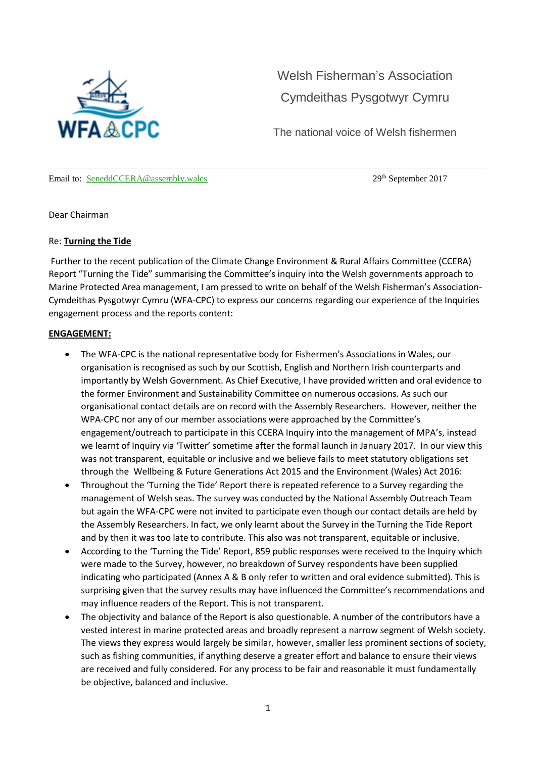

Welsh [Fisherman's](https://welshfishermensassociation.wordpress.com/) Association [Cymdeithas](https://welshfishermensassociation.wordpress.com/) Pysgotwyr Cymru

The national voice of Welsh fishermen

Email to: [SeneddCCERA@assembly.wales](mailto:SeneddCCERA@assembly.wales) 29th September 2017

Dear Chairman

### Re: **Turning the Tide**

Further to the recent publication of the Climate Change Environment & Rural Affairs Committee (CCERA) Report "Turning the Tide" summarising the Committee's inquiry into the Welsh governments approach to Marine Protected Area management, I am pressed to write on behalf of the Welsh Fisherman's Association-Cymdeithas Pysgotwyr Cymru (WFA-CPC) to express our concerns regarding our experience of the Inquiries engagement process and the reports content:

### **ENGAGEMENT:**

- The WFA-CPC is the national representative body for Fishermen's Associations in Wales, our organisation is recognised as such by our Scottish, English and Northern Irish counterparts and importantly by Welsh Government. As Chief Executive, I have provided written and oral evidence to the former Environment and Sustainability Committee on numerous occasions. As such our organisational contact details are on record with the Assembly Researchers. However, neither the WPA-CPC nor any of our member associations were approached by the Committee's engagement/outreach to participate in this CCERA Inquiry into the management of MPA's, instead we learnt of Inquiry via 'Twitter' sometime after the formal launch in January 2017. In our view this was not transparent, equitable or inclusive and we believe fails to meet statutory obligations set through the Wellbeing & Future Generations Act 2015 and the Environment (Wales) Act 2016:
- Throughout the 'Turning the Tide' Report there is repeated reference to a Survey regarding the management of Welsh seas. The survey was conducted by the National Assembly Outreach Team but again the WFA-CPC were not invited to participate even though our contact details are held by the Assembly Researchers. In fact, we only learnt about the Survey in the Turning the Tide Report and by then it was too late to contribute. This also was not transparent, equitable or inclusive.
- According to the 'Turning the Tide' Report, 859 public responses were received to the Inquiry which were made to the Survey, however, no breakdown of Survey respondents have been supplied indicating who participated (Annex A & B only refer to written and oral evidence submitted). This is surprising given that the survey results may have influenced the Committee's recommendations and may influence readers of the Report. This is not transparent.
- The objectivity and balance of the Report is also questionable. A number of the contributors have a vested interest in marine protected areas and broadly represent a narrow segment of Welsh society. The views they express would largely be similar, however, smaller less prominent sections of society, such as fishing communities, if anything deserve a greater effort and balance to ensure their views are received and fully considered. For any process to be fair and reasonable it must fundamentally be objective, balanced and inclusive.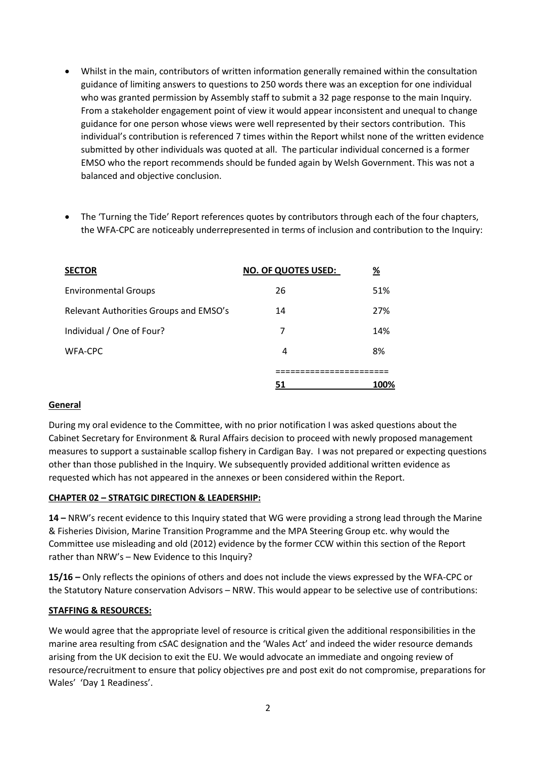- Whilst in the main, contributors of written information generally remained within the consultation guidance of limiting answers to questions to 250 words there was an exception for one individual who was granted permission by Assembly staff to submit a 32 page response to the main Inquiry. From a stakeholder engagement point of view it would appear inconsistent and unequal to change guidance for one person whose views were well represented by their sectors contribution. This individual's contribution is referenced 7 times within the Report whilst none of the written evidence submitted by other individuals was quoted at all. The particular individual concerned is a former EMSO who the report recommends should be funded again by Welsh Government. This was not a balanced and objective conclusion.
- The 'Turning the Tide' Report references quotes by contributors through each of the four chapters, the WFA-CPC are noticeably underrepresented in terms of inclusion and contribution to the Inquiry:

| <b>SECTOR</b>                          | NO. OF QUOTES USED: | $\frac{9}{6}$ |
|----------------------------------------|---------------------|---------------|
| <b>Environmental Groups</b>            | 26                  | 51%           |
| Relevant Authorities Groups and EMSO's | 14                  | 27%           |
| Individual / One of Four?              |                     | 14%           |
| WFA-CPC                                | 4                   | 8%            |
|                                        |                     |               |
|                                        |                     | 100%          |

## **General**

During my oral evidence to the Committee, with no prior notification I was asked questions about the Cabinet Secretary for Environment & Rural Affairs decision to proceed with newly proposed management measures to support a sustainable scallop fishery in Cardigan Bay. I was not prepared or expecting questions other than those published in the Inquiry. We subsequently provided additional written evidence as requested which has not appeared in the annexes or been considered within the Report.

## **CHAPTER 02 – STRATGIC DIRECTION & LEADERSHIP:**

**14 –** NRW's recent evidence to this Inquiry stated that WG were providing a strong lead through the Marine & Fisheries Division, Marine Transition Programme and the MPA Steering Group etc. why would the Committee use misleading and old (2012) evidence by the former CCW within this section of the Report rather than NRW's – New Evidence to this Inquiry?

**15/16 –** Only reflects the opinions of others and does not include the views expressed by the WFA-CPC or the Statutory Nature conservation Advisors – NRW. This would appear to be selective use of contributions:

## **STAFFING & RESOURCES:**

We would agree that the appropriate level of resource is critical given the additional responsibilities in the marine area resulting from cSAC designation and the 'Wales Act' and indeed the wider resource demands arising from the UK decision to exit the EU. We would advocate an immediate and ongoing review of resource/recruitment to ensure that policy objectives pre and post exit do not compromise, preparations for Wales' 'Day 1 Readiness'.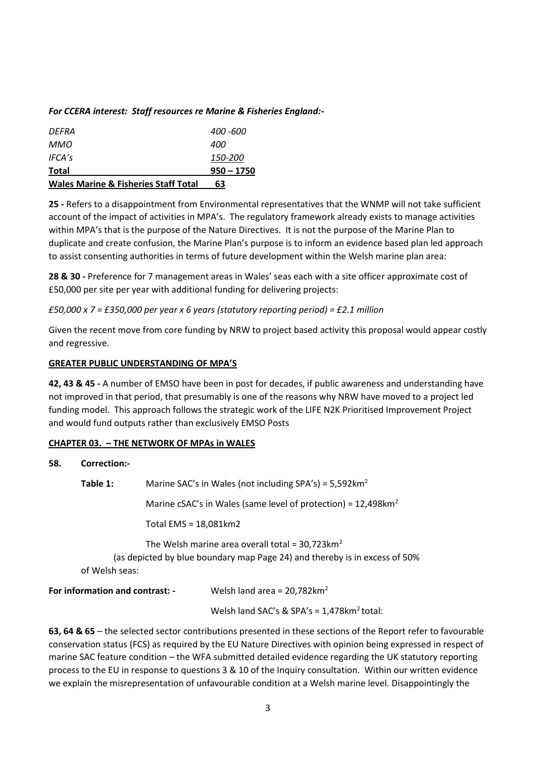## *For CCERA interest: Staff resources re Marine & Fisheries England:-*

| <b>Wales Marine &amp; Fisheries Staff Total</b> | 63             |
|-------------------------------------------------|----------------|
| <b>Total</b>                                    | $950 - 1750$   |
| IFCA's                                          | <i>150-200</i> |
| MMO.                                            | 400            |
| DFFRA                                           | 400 -600       |
|                                                 |                |

**25 -** Refers to a disappointment from Environmental representatives that the WNMP will not take sufficient account of the impact of activities in MPA's. The regulatory framework already exists to manage activities within MPA's that is the purpose of the Nature Directives. It is not the purpose of the Marine Plan to duplicate and create confusion, the Marine Plan's purpose is to inform an evidence based plan led approach to assist consenting authorities in terms of future development within the Welsh marine plan area:

**28 & 30 -** Preference for 7 management areas in Wales' seas each with a site officer approximate cost of £50,000 per site per year with additional funding for delivering projects:

### *£50,000 x 7 = £350,000 per year x 6 years (statutory reporting period) = £2.1 million*

Given the recent move from core funding by NRW to project based activity this proposal would appear costly and regressive.

### **GREATER PUBLIC UNDERSTANDING OF MPA'S**

**42, 43 & 45 -** A number of EMSO have been in post for decades, if public awareness and understanding have not improved in that period, that presumably is one of the reasons why NRW have moved to a project led funding model. This approach follows the strategic work of the LIFE N2K Prioritised Improvement Project and would fund outputs rather than exclusively EMSO Posts

#### **CHAPTER 03. – THE NETWORK OF MPAs in WALES**

| 58.                                                                                                                                                            | Correction:- | Marine SAC's in Wales (not including SPA's) = $5,592$ km <sup>2</sup> |                                                                              |
|----------------------------------------------------------------------------------------------------------------------------------------------------------------|--------------|-----------------------------------------------------------------------|------------------------------------------------------------------------------|
|                                                                                                                                                                | Table 1:     |                                                                       |                                                                              |
|                                                                                                                                                                |              |                                                                       | Marine cSAC's in Wales (same level of protection) = $12,498$ km <sup>2</sup> |
|                                                                                                                                                                |              | Total $EMS = 18,081km2$                                               |                                                                              |
| The Welsh marine area overall total = $30,723$ km <sup>2</sup><br>(as depicted by blue boundary map Page 24) and thereby is in excess of 50%<br>of Welsh seas: |              |                                                                       |                                                                              |
| <b>For information and contrast: -</b>                                                                                                                         |              |                                                                       | Welsh land area = $20,782$ km <sup>2</sup>                                   |
|                                                                                                                                                                |              |                                                                       | Welsh land SAC's & SPA's = $1,478$ km <sup>2</sup> total:                    |

**63, 64 & 65** – the selected sector contributions presented in these sections of the Report refer to favourable conservation status (FCS) as required by the EU Nature Directives with opinion being expressed in respect of marine SAC feature condition – the WFA submitted detailed evidence regarding the UK statutory reporting process to the EU in response to questions 3 & 10 of the Inquiry consultation. Within our written evidence we explain the misrepresentation of unfavourable condition at a Welsh marine level. Disappointingly the